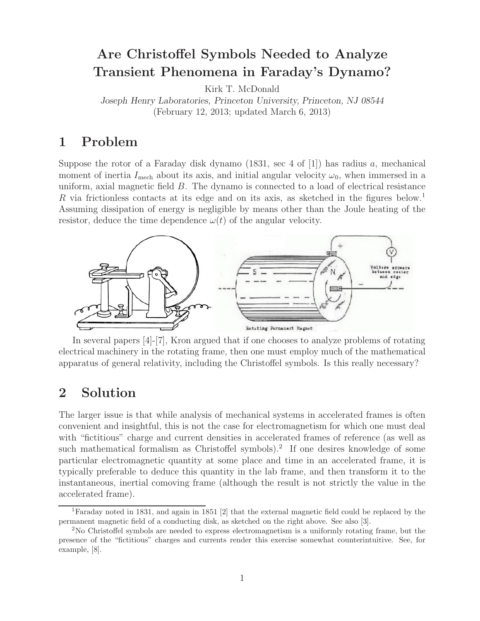# **Are Christoffel Symbols Needed to Analyze Transient Phenomena in Faraday's Dynamo?**

Kirk T. McDonald

*Joseph Henry Laboratories, Princeton University, Princeton, NJ 08544* (February 12, 2013; updated March 6, 2013)

### **1 Problem**

Suppose the rotor of a Faraday disk dynamo  $(1831, \text{ sec } 4 \text{ of } [1])$  has radius a, mechanical moment of inertia  $I_{\text{mech}}$  about its axis, and initial angular velocity  $\omega_0$ , when immersed in a uniform, axial magnetic field B. The dynamo is connected to a load of electrical resistance R via frictionless contacts at its edge and on its axis, as sketched in the figures below.<sup>1</sup> Assuming dissipation of energy is negligible by means other than the Joule heating of the resistor, deduce the time dependence  $\omega(t)$  of the angular velocity.



In several papers [4]-[7], Kron argued that if one chooses to analyze problems of rotating electrical machinery in the rotating frame, then one must employ much of the mathematical apparatus of general relativity, including the Christoffel symbols. Is this really necessary?

#### **2 Solution**

The larger issue is that while analysis of mechanical systems in accelerated frames is often convenient and insightful, this is not the case for electromagnetism for which one must deal with "fictitious" charge and current densities in accelerated frames of reference (as well as such mathematical formalism as Christoffel symbols).<sup>2</sup> If one desires knowledge of some particular electromagnetic quantity at some place and time in an accelerated frame, it is typically preferable to deduce this quantity in the lab frame, and then transform it to the instantaneous, inertial comoving frame (although the result is not strictly the value in the accelerated frame).

<sup>1</sup>Faraday noted in 1831, and again in 1851 [2] that the external magnetic field could be replaced by the permanent magnetic field of a conducting disk, as sketched on the right above. See also [3].

<sup>2</sup>No Christoffel symbols are needed to express electromagnetism is a uniformly rotating frame, but the presence of the "fictitious" charges and currents render this exercise somewhat counterintuitive. See, for example, [8].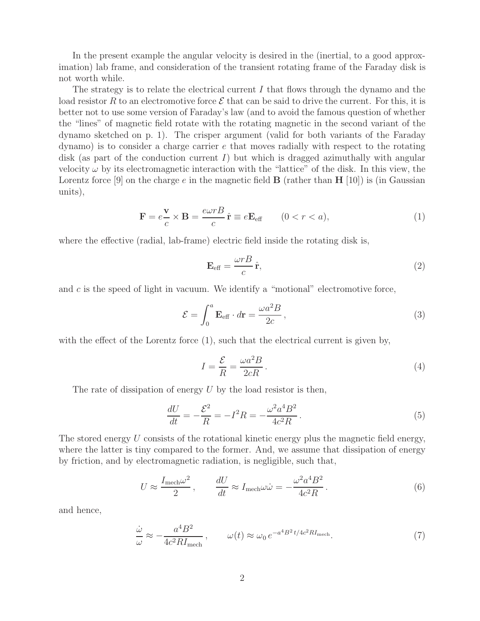In the present example the angular velocity is desired in the (inertial, to a good approximation) lab frame, and consideration of the transient rotating frame of the Faraday disk is not worth while.

The strategy is to relate the electrical current  $I$  that flows through the dynamo and the load resistor R to an electromotive force  $\mathcal E$  that can be said to drive the current. For this, it is better not to use some version of Faraday's law (and to avoid the famous question of whether the "lines" of magnetic field rotate with the rotating magnetic in the second variant of the dynamo sketched on p. 1). The crisper argument (valid for both variants of the Faraday dynamo) is to consider a charge carrier e that moves radially with respect to the rotating disk (as part of the conduction current  $I$ ) but which is dragged azimuthally with angular velocity  $\omega$  by its electromagnetic interaction with the "lattice" of the disk. In this view, the Lorentz force  $[9]$  on the charge e in the magnetic field **B** (rather than **H**  $[10]$ ) is (in Gaussian units),

$$
\mathbf{F} = e \frac{\mathbf{v}}{c} \times \mathbf{B} = \frac{e \omega r B}{c} \hat{\mathbf{r}} \equiv e \mathbf{E}_{\text{eff}} \qquad (0 < r < a), \tag{1}
$$

where the effective (radial, lab-frame) electric field inside the rotating disk is,

$$
\mathbf{E}_{\text{eff}} = \frac{\omega r B}{c} \hat{\mathbf{r}},\tag{2}
$$

and  $c$  is the speed of light in vacuum. We identify a "motional" electromotive force,

$$
\mathcal{E} = \int_0^a \mathbf{E}_{\text{eff}} \cdot d\mathbf{r} = \frac{\omega a^2 B}{2c},\qquad(3)
$$

with the effect of the Lorentz force  $(1)$ , such that the electrical current is given by,

$$
I = \frac{\mathcal{E}}{R} = \frac{\omega a^2 B}{2cR}.
$$
\n<sup>(4)</sup>

The rate of dissipation of energy  $U$  by the load resistor is then,

$$
\frac{dU}{dt} = -\frac{\mathcal{E}^2}{R} = -I^2 R = -\frac{\omega^2 a^4 B^2}{4c^2 R}.
$$
\n(5)

The stored energy  $U$  consists of the rotational kinetic energy plus the magnetic field energy, where the latter is tiny compared to the former. And, we assume that dissipation of energy by friction, and by electromagnetic radiation, is negligible, such that,

$$
U \approx \frac{I_{\text{mech}}\omega^2}{2}, \qquad \frac{dU}{dt} \approx I_{\text{mech}}\omega\dot{\omega} = -\frac{\omega^2 a^4 B^2}{4c^2 R}.
$$
 (6)

and hence,

$$
\frac{\dot{\omega}}{\omega} \approx -\frac{a^4 B^2}{4c^2 R I_{\text{mech}}}, \qquad \omega(t) \approx \omega_0 e^{-a^4 B^2 t / 4c^2 R I_{\text{mech}}}.
$$
\n(7)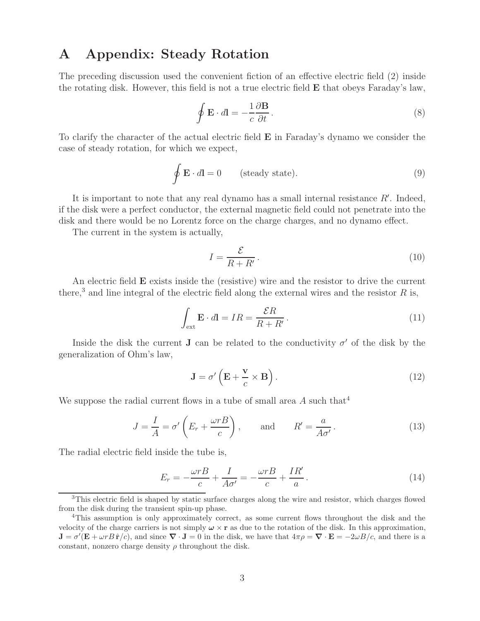#### **A Appendix: Steady Rotation**

The preceding discussion used the convenient fiction of an effective electric field (2) inside the rotating disk. However, this field is not a true electric field **E** that obeys Faraday's law,

$$
\oint \mathbf{E} \cdot d\mathbf{l} = -\frac{1}{c} \frac{\partial \mathbf{B}}{\partial t}.
$$
\n(8)

To clarify the character of the actual electric field **E** in Faraday's dynamo we consider the case of steady rotation, for which we expect,

$$
\oint \mathbf{E} \cdot d\mathbf{l} = 0 \qquad \text{(steady state)}.
$$
\n(9)

It is important to note that any real dynamo has a small internal resistance  $R'$ . Indeed, if the disk were a perfect conductor, the external magnetic field could not penetrate into the disk and there would be no Lorentz force on the charge charges, and no dynamo effect.

The current in the system is actually,

$$
I = \frac{\mathcal{E}}{R + R'}.
$$
\n(10)

An electric field **E** exists inside the (resistive) wire and the resistor to drive the current there,<sup>3</sup> and line integral of the electric field along the external wires and the resistor  $R$  is,

$$
\int_{\text{ext}} \mathbf{E} \cdot d\mathbf{l} = IR = \frac{\mathcal{E}R}{R + R'}.
$$
\n(11)

Inside the disk the current **J** can be related to the conductivity  $\sigma'$  of the disk by the generalization of Ohm's law,

$$
\mathbf{J} = \sigma' \left( \mathbf{E} + \frac{\mathbf{v}}{c} \times \mathbf{B} \right). \tag{12}
$$

We suppose the radial current flows in a tube of small area  $A$  such that<sup>4</sup>

$$
J = \frac{I}{A} = \sigma' \left( E_r + \frac{\omega r B}{c} \right), \quad \text{and} \quad R' = \frac{a}{A \sigma'}.
$$
 (13)

The radial electric field inside the tube is,

$$
E_r = -\frac{\omega r}{c} + \frac{I}{A\sigma'} = -\frac{\omega r}{c} + \frac{IR'}{a}.
$$
\n(14)

<sup>&</sup>lt;sup>3</sup>This electric field is shaped by static surface charges along the wire and resistor, which charges flowed from the disk during the transient spin-up phase.

<sup>4</sup>This assumption is only approximately correct, as some current flows throughout the disk and the velocity of the charge carriers is not simply  $\omega \times r$  as due to the rotation of the disk. In this approximation,  $\mathbf{J} = \sigma'(\mathbf{E} + \omega r B \hat{\mathbf{r}}/c)$ , and since  $\nabla \cdot \mathbf{J} = 0$  in the disk, we have that  $4\pi \rho = \nabla \cdot \mathbf{E} = -2\omega B/c$ , and there is a constant, nonzero charge density  $\rho$  throughout the disk.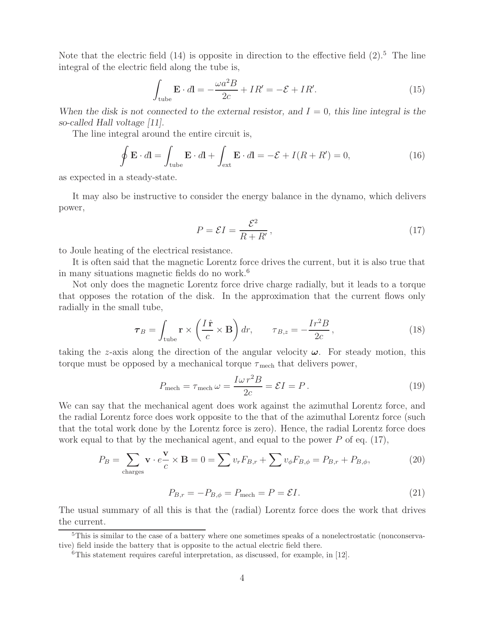Note that the electric field  $(14)$  is opposite in direction to the effective field  $(2)$ .<sup>5</sup> The line integral of the electric field along the tube is,

$$
\int_{\text{tube}} \mathbf{E} \cdot d\mathbf{l} = -\frac{\omega a^2 B}{2c} + IR' = -\mathcal{E} + IR'.\tag{15}
$$

When the disk is not connected to the external resistor, and  $I = 0$ , this line integral is the *so-called Hall voltage [11].*

The line integral around the entire circuit is,

$$
\oint \mathbf{E} \cdot d\mathbf{l} = \int_{\text{tube}} \mathbf{E} \cdot d\mathbf{l} + \int_{\text{ext}} \mathbf{E} \cdot d\mathbf{l} = -\mathcal{E} + I(R + R') = 0,
$$
\n(16)

as expected in a steady-state.

It may also be instructive to consider the energy balance in the dynamo, which delivers power,

$$
P = \mathcal{E}I = \frac{\mathcal{E}^2}{R + R'},\tag{17}
$$

to Joule heating of the electrical resistance.

It is often said that the magnetic Lorentz force drives the current, but it is also true that in many situations magnetic fields do no work.6

Not only does the magnetic Lorentz force drive charge radially, but it leads to a torque that opposes the rotation of the disk. In the approximation that the current flows only radially in the small tube,

$$
\boldsymbol{\tau}_B = \int_{\text{tube}} \mathbf{r} \times \left(\frac{I\,\hat{\mathbf{r}}}{c} \times \mathbf{B}\right) dr, \qquad \tau_{B,z} = -\frac{Ir^2B}{2c},\tag{18}
$$

taking the z-axis along the direction of the angular velocity *ω*. For steady motion, this torque must be opposed by a mechanical torque  $\tau_{\text{mech}}$  that delivers power,

$$
P_{\text{mech}} = \tau_{\text{mech}} \,\omega = \frac{I\omega \,r^2 B}{2c} = \mathcal{E}I = P. \tag{19}
$$

We can say that the mechanical agent does work against the azimuthal Lorentz force, and the radial Lorentz force does work opposite to the that of the azimuthal Lorentz force (such that the total work done by the Lorentz force is zero). Hence, the radial Lorentz force does work equal to that by the mechanical agent, and equal to the power  $P$  of eq. (17),

$$
P_B = \sum_{\text{charges}} \mathbf{v} \cdot e \frac{\mathbf{v}}{c} \times \mathbf{B} = 0 = \sum v_r F_{B,r} + \sum v_{\phi} F_{B,\phi} = P_{B,r} + P_{B,\phi},\tag{20}
$$

$$
P_{B,r} = -P_{B,\phi} = P_{\text{mech}} = P = \mathcal{E}I.
$$
\n
$$
(21)
$$

The usual summary of all this is that the (radial) Lorentz force does the work that drives the current.

<sup>5</sup>This is similar to the case of a battery where one sometimes speaks of a nonelectrostatic (nonconservative) field inside the battery that is opposite to the actual electric field there.

<sup>6</sup>This statement requires careful interpretation, as discussed, for example, in [12].